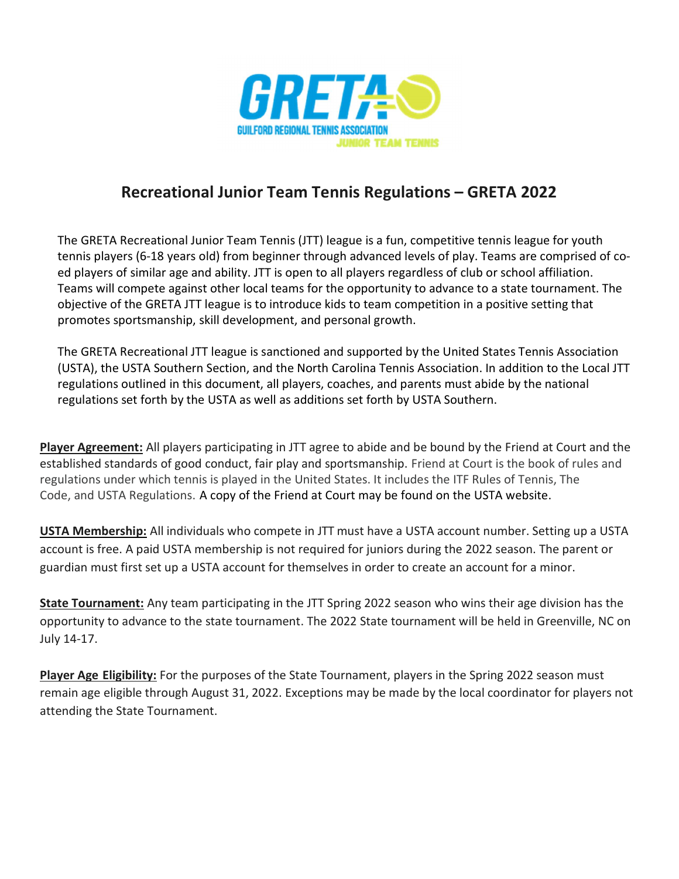

## Recreational Junior Team Tennis Regulations – GRETA 2022

The GRETA Recreational Junior Team Tennis (JTT) league is a fun, competitive tennis league for youth tennis players (6-18 years old) from beginner through advanced levels of play. Teams are comprised of coed players of similar age and ability. JTT is open to all players regardless of club or school affiliation. Teams will compete against other local teams for the opportunity to advance to a state tournament. The objective of the GRETA JTT league is to introduce kids to team competition in a positive setting that promotes sportsmanship, skill development, and personal growth.

The GRETA Recreational JTT league is sanctioned and supported by the United States Tennis Association (USTA), the USTA Southern Section, and the North Carolina Tennis Association. In addition to the Local JTT regulations outlined in this document, all players, coaches, and parents must abide by the national regulations set forth by the USTA as well as additions set forth by USTA Southern.

Player Agreement: All players participating in JTT agree to abide and be bound by the Friend at Court and the established standards of good conduct, fair play and sportsmanship. Friend at Court is the book of rules and regulations under which tennis is played in the United States. It includes the ITF Rules of Tennis, The Code, and USTA Regulations. A copy of the Friend at Court may be found on the USTA website.

USTA Membership: All individuals who compete in JTT must have a USTA account number. Setting up a USTA account is free. A paid USTA membership is not required for juniors during the 2022 season. The parent or guardian must first set up a USTA account for themselves in order to create an account for a minor.

State Tournament: Any team participating in the JTT Spring 2022 season who wins their age division has the opportunity to advance to the state tournament. The 2022 State tournament will be held in Greenville, NC on July 14-17.

Player Age Eligibility: For the purposes of the State Tournament, players in the Spring 2022 season must remain age eligible through August 31, 2022. Exceptions may be made by the local coordinator for players not attending the State Tournament.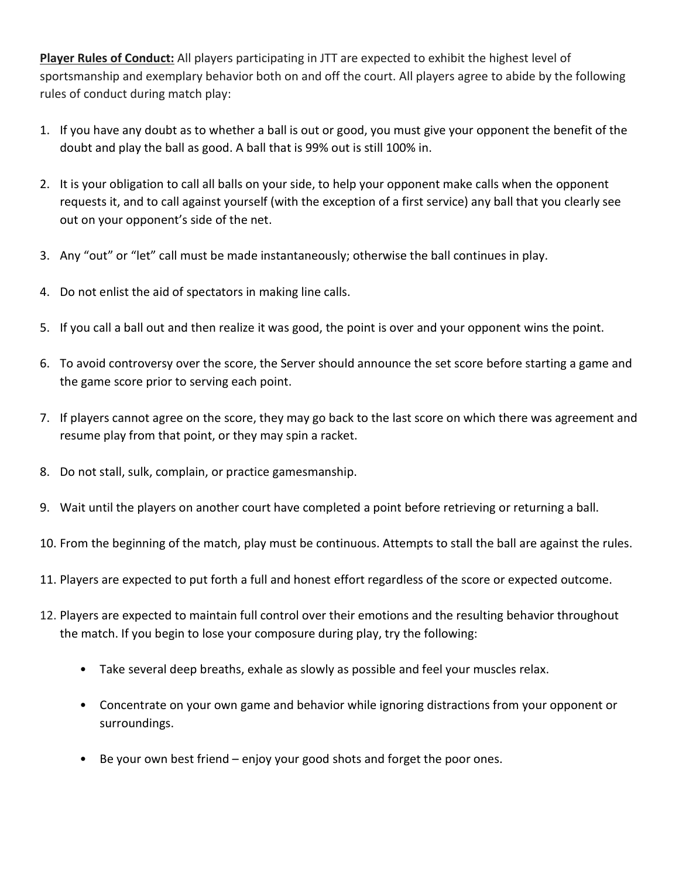Player Rules of Conduct: All players participating in JTT are expected to exhibit the highest level of sportsmanship and exemplary behavior both on and off the court. All players agree to abide by the following rules of conduct during match play:

- 1. If you have any doubt as to whether a ball is out or good, you must give your opponent the benefit of the doubt and play the ball as good. A ball that is 99% out is still 100% in.
- 2. It is your obligation to call all balls on your side, to help your opponent make calls when the opponent requests it, and to call against yourself (with the exception of a first service) any ball that you clearly see out on your opponent's side of the net.
- 3. Any "out" or "let" call must be made instantaneously; otherwise the ball continues in play.
- 4. Do not enlist the aid of spectators in making line calls.
- 5. If you call a ball out and then realize it was good, the point is over and your opponent wins the point.
- 6. To avoid controversy over the score, the Server should announce the set score before starting a game and the game score prior to serving each point.
- 7. If players cannot agree on the score, they may go back to the last score on which there was agreement and resume play from that point, or they may spin a racket.
- 8. Do not stall, sulk, complain, or practice gamesmanship.
- 9. Wait until the players on another court have completed a point before retrieving or returning a ball.
- 10. From the beginning of the match, play must be continuous. Attempts to stall the ball are against the rules.
- 11. Players are expected to put forth a full and honest effort regardless of the score or expected outcome.
- 12. Players are expected to maintain full control over their emotions and the resulting behavior throughout the match. If you begin to lose your composure during play, try the following:
	- Take several deep breaths, exhale as slowly as possible and feel your muscles relax.
	- Concentrate on your own game and behavior while ignoring distractions from your opponent or surroundings.
	- Be your own best friend enjoy your good shots and forget the poor ones.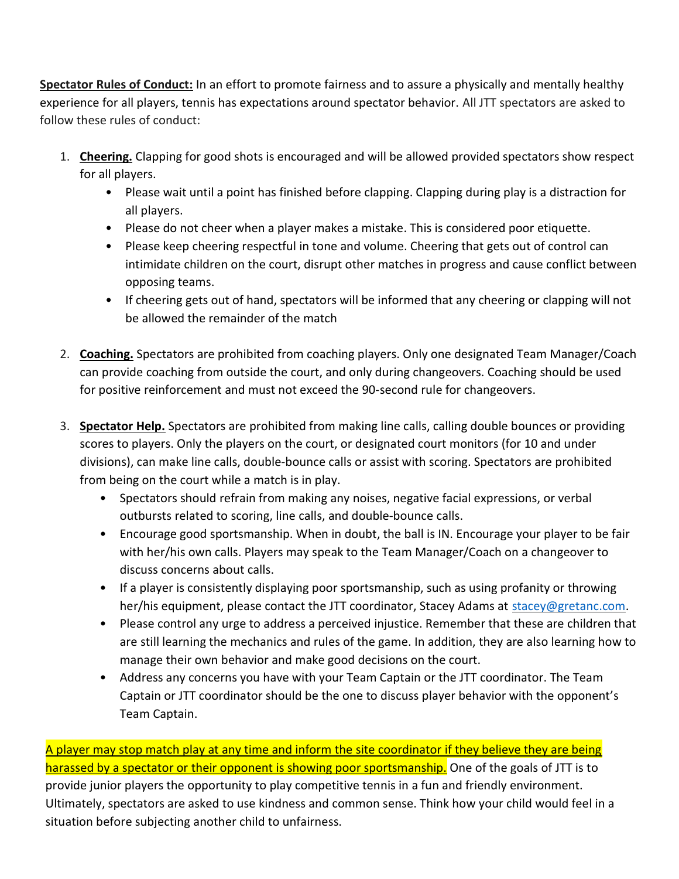Spectator Rules of Conduct: In an effort to promote fairness and to assure a physically and mentally healthy experience for all players, tennis has expectations around spectator behavior. All JTT spectators are asked to follow these rules of conduct:

- 1. Cheering. Clapping for good shots is encouraged and will be allowed provided spectators show respect for all players.
	- Please wait until a point has finished before clapping. Clapping during play is a distraction for all players.
	- Please do not cheer when a player makes a mistake. This is considered poor etiquette.
	- Please keep cheering respectful in tone and volume. Cheering that gets out of control can intimidate children on the court, disrupt other matches in progress and cause conflict between opposing teams.
	- If cheering gets out of hand, spectators will be informed that any cheering or clapping will not be allowed the remainder of the match
- 2. Coaching. Spectators are prohibited from coaching players. Only one designated Team Manager/Coach can provide coaching from outside the court, and only during changeovers. Coaching should be used for positive reinforcement and must not exceed the 90-second rule for changeovers.
- 3. Spectator Help. Spectators are prohibited from making line calls, calling double bounces or providing scores to players. Only the players on the court, or designated court monitors (for 10 and under divisions), can make line calls, double-bounce calls or assist with scoring. Spectators are prohibited from being on the court while a match is in play.
	- Spectators should refrain from making any noises, negative facial expressions, or verbal outbursts related to scoring, line calls, and double-bounce calls.
	- Encourage good sportsmanship. When in doubt, the ball is IN. Encourage your player to be fair with her/his own calls. Players may speak to the Team Manager/Coach on a changeover to discuss concerns about calls.
	- If a player is consistently displaying poor sportsmanship, such as using profanity or throwing her/his equipment, please contact the JTT coordinator, Stacey Adams at stacey@gretanc.com.
	- Please control any urge to address a perceived injustice. Remember that these are children that are still learning the mechanics and rules of the game. In addition, they are also learning how to manage their own behavior and make good decisions on the court.
	- Address any concerns you have with your Team Captain or the JTT coordinator. The Team Captain or JTT coordinator should be the one to discuss player behavior with the opponent's Team Captain.

A player may stop match play at any time and inform the site coordinator if they believe they are being harassed by a spectator or their opponent is showing poor sportsmanship. One of the goals of JTT is to provide junior players the opportunity to play competitive tennis in a fun and friendly environment. Ultimately, spectators are asked to use kindness and common sense. Think how your child would feel in a situation before subjecting another child to unfairness.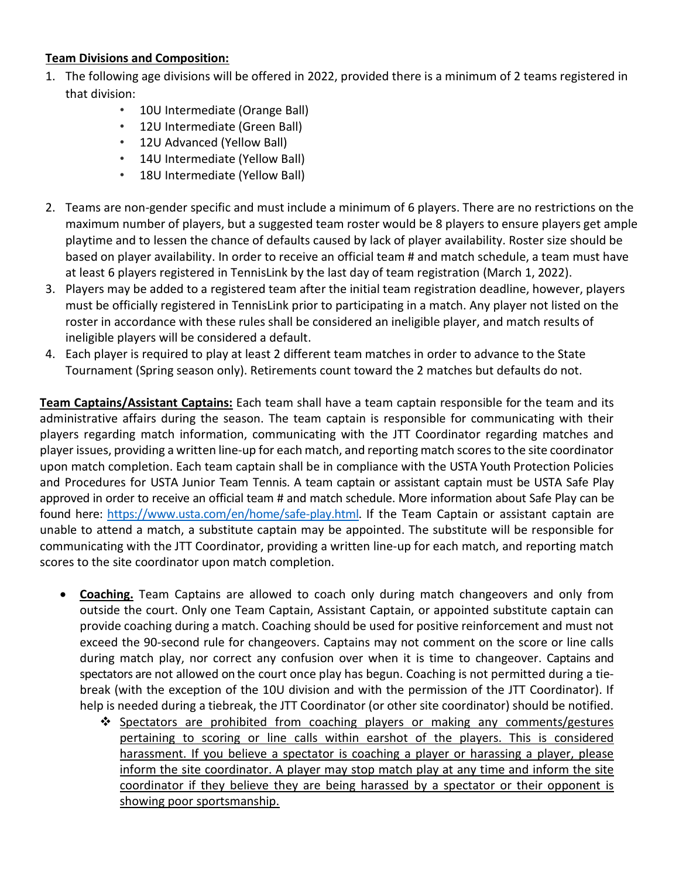## Team Divisions and Composition:

- 1. The following age divisions will be offered in 2022, provided there is a minimum of 2 teams registered in that division:
	- 10U Intermediate (Orange Ball)
	- 12U Intermediate (Green Ball)
	- 12U Advanced (Yellow Ball)
	- 14U Intermediate (Yellow Ball)
	- 18U Intermediate (Yellow Ball)
- 2. Teams are non-gender specific and must include a minimum of 6 players. There are no restrictions on the maximum number of players, but a suggested team roster would be 8 players to ensure players get ample playtime and to lessen the chance of defaults caused by lack of player availability. Roster size should be based on player availability. In order to receive an official team # and match schedule, a team must have at least 6 players registered in TennisLink by the last day of team registration (March 1, 2022).
- 3. Players may be added to a registered team after the initial team registration deadline, however, players must be officially registered in TennisLink prior to participating in a match. Any player not listed on the roster in accordance with these rules shall be considered an ineligible player, and match results of ineligible players will be considered a default.
- 4. Each player is required to play at least 2 different team matches in order to advance to the State Tournament (Spring season only). Retirements count toward the 2 matches but defaults do not.

Team Captains/Assistant Captains: Each team shall have a team captain responsible for the team and its administrative affairs during the season. The team captain is responsible for communicating with their players regarding match information, communicating with the JTT Coordinator regarding matches and player issues, providing a written line-up for each match, and reporting match scores to the site coordinator upon match completion. Each team captain shall be in compliance with the USTA Youth Protection Policies and Procedures for USTA Junior Team Tennis. A team captain or assistant captain must be USTA Safe Play approved in order to receive an official team # and match schedule. More information about Safe Play can be found here: https://www.usta.com/en/home/safe-play.html. If the Team Captain or assistant captain are unable to attend a match, a substitute captain may be appointed. The substitute will be responsible for communicating with the JTT Coordinator, providing a written line-up for each match, and reporting match scores to the site coordinator upon match completion.

- Coaching. Team Captains are allowed to coach only during match changeovers and only from outside the court. Only one Team Captain, Assistant Captain, or appointed substitute captain can provide coaching during a match. Coaching should be used for positive reinforcement and must not exceed the 90-second rule for changeovers. Captains may not comment on the score or line calls during match play, nor correct any confusion over when it is time to changeover. Captains and spectators are not allowed on the court once play has begun. Coaching is not permitted during a tiebreak (with the exception of the 10U division and with the permission of the JTT Coordinator). If help is needed during a tiebreak, the JTT Coordinator (or other site coordinator) should be notified.
	- Spectators are prohibited from coaching players or making any comments/gestures pertaining to scoring or line calls within earshot of the players. This is considered harassment. If you believe a spectator is coaching a player or harassing a player, please inform the site coordinator. A player may stop match play at any time and inform the site coordinator if they believe they are being harassed by a spectator or their opponent is showing poor sportsmanship.